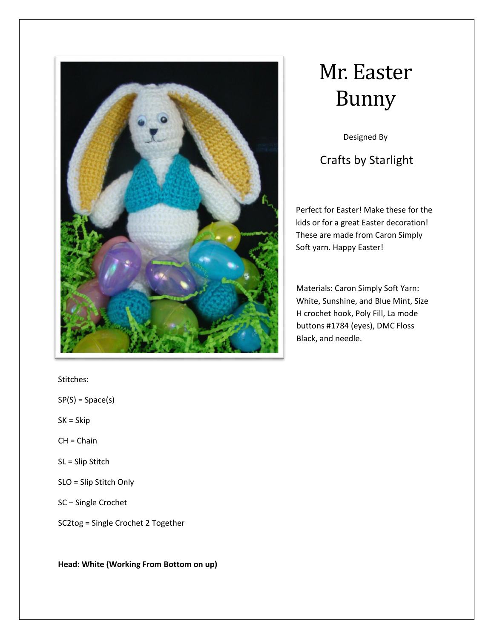

# Mr. Easter Bunny

Designed By

Crafts by Starlight

Perfect for Easter! Make these for the kids or for a great Easter decoration! These are made from Caron Simply Soft yarn. Happy Easter!

Materials: Caron Simply Soft Yarn: White, Sunshine, and Blue Mint, Size H crochet hook, Poly Fill, La mode buttons #1784 (eyes), DMC Floss Black, and needle.

Stitches:

 $SP(S) = Space(s)$ 

- SK = Skip
- CH = Chain
- SL = Slip Stitch
- SLO = Slip Stitch Only
- SC Single Crochet

SC2tog = Single Crochet 2 Together

**Head: White (Working From Bottom on up)**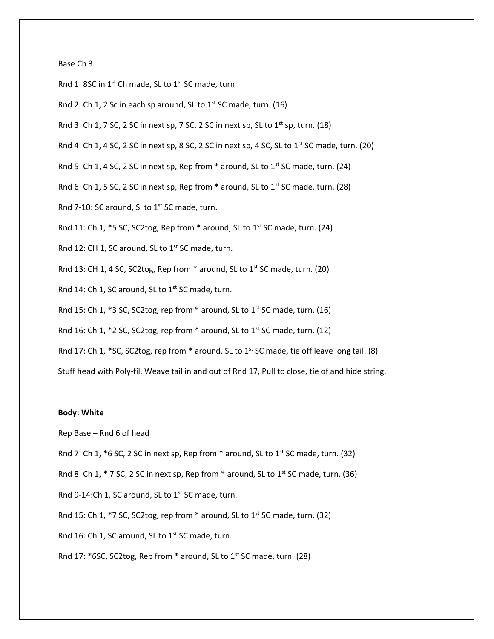### Base Ch 3

Rnd 1: 8SC in  $1^{st}$  Ch made, SL to  $1^{st}$  SC made, turn.

Rnd 2: Ch 1, 2 Sc in each sp around, SL to  $1<sup>st</sup>$  SC made, turn. (16)

Rnd 3: Ch 1, 7 SC, 2 SC in next sp, 7 SC, 2 SC in next sp, SL to  $1<sup>st</sup>$  sp, turn. (18)

Rnd 4: Ch 1, 4 SC, 2 SC in next sp, 8 SC, 2 SC in next sp, 4 SC, SL to 1<sup>st</sup> SC made, turn. (20)

Rnd 5: Ch 1, 4 SC, 2 SC in next sp, Rep from  $*$  around, SL to 1st SC made, turn. (24)

Rnd 6: Ch 1, 5 SC, 2 SC in next sp, Rep from  $*$  around, SL to 1st SC made, turn. (28)

Rnd 7-10: SC around, SI to  $1<sup>st</sup>$  SC made, turn.

Rnd 11: Ch 1,  $*$ 5 SC, SC2tog, Rep from  $*$  around, SL to 1<sup>st</sup> SC made, turn. (24)

Rnd 12: CH 1, SC around, SL to 1<sup>st</sup> SC made, turn.

Rnd 13: CH 1, 4 SC, SC2tog, Rep from \* around, SL to 1<sup>st</sup> SC made, turn. (20)

Rnd 14: Ch 1, SC around, SL to 1<sup>st</sup> SC made, turn.

Rnd 15: Ch 1, \*3 SC, SC2tog, rep from \* around, SL to  $1<sup>st</sup>$  SC made, turn. (16)

Rnd 16: Ch 1, \*2 SC, SC2tog, rep from \* around, SL to  $1<sup>st</sup>$  SC made, turn. (12)

Rnd 17: Ch 1, \*SC, SC2tog, rep from \* around, SL to 1st SC made, tie off leave long tail. (8)

Stuff head with Poly-fil. Weave tail in and out of Rnd 17, Pull to close, tie of and hide string.

#### **Body: White**

Rep Base – Rnd 6 of head

Rnd 7: Ch 1,  $*6$  SC, 2 SC in next sp, Rep from  $*$  around, SL to 1<sup>st</sup> SC made, turn. (32)

Rnd 8: Ch 1,  $*$  7 SC, 2 SC in next sp, Rep from  $*$  around, SL to 1<sup>st</sup> SC made, turn. (36)

Rnd 9-14:Ch 1, SC around, SL to  $1<sup>st</sup>$  SC made, turn.

Rnd 15: Ch 1,  $*$ 7 SC, SC2tog, rep from  $*$  around, SL to 1<sup>st</sup> SC made, turn. (32)

Rnd 16: Ch 1, SC around, SL to 1<sup>st</sup> SC made, turn.

Rnd 17: \*6SC, SC2tog, Rep from \* around, SL to 1<sup>st</sup> SC made, turn. (28)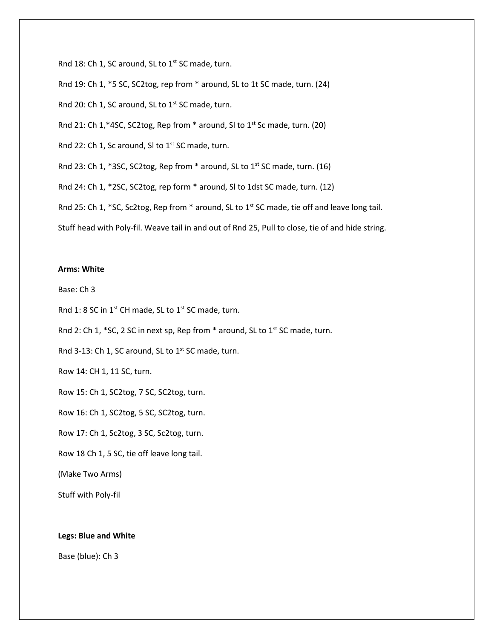Rnd 18: Ch 1, SC around, SL to  $1<sup>st</sup>$  SC made, turn. Rnd 19: Ch 1, \*5 SC, SC2tog, rep from \* around, SL to 1t SC made, turn. (24) Rnd 20: Ch 1, SC around, SL to  $1<sup>st</sup>$  SC made, turn. Rnd 21: Ch 1,\*4SC, SC2tog, Rep from \* around, SI to 1<sup>st</sup> Sc made, turn. (20) Rnd 22: Ch 1, Sc around, SI to 1<sup>st</sup> SC made, turn. Rnd 23: Ch 1, \*3SC, SC2tog, Rep from \* around, SL to 1<sup>st</sup> SC made, turn. (16) Rnd 24: Ch 1, \*2SC, SC2tog, rep form \* around, Sl to 1dst SC made, turn. (12) Rnd 25: Ch 1, \*SC, Sc2tog, Rep from \* around, SL to 1<sup>st</sup> SC made, tie off and leave long tail. Stuff head with Poly-fil. Weave tail in and out of Rnd 25, Pull to close, tie of and hide string.

## **Arms: White**

Base: Ch 3

Rnd 1: 8 SC in  $1^{st}$  CH made, SL to  $1^{st}$  SC made, turn.

Rnd 2: Ch 1,  $*$  SC, 2 SC in next sp, Rep from  $*$  around, SL to 1<sup>st</sup> SC made, turn.

Rnd 3-13: Ch 1, SC around, SL to  $1<sup>st</sup>$  SC made, turn.

Row 14: CH 1, 11 SC, turn.

Row 15: Ch 1, SC2tog, 7 SC, SC2tog, turn.

Row 16: Ch 1, SC2tog, 5 SC, SC2tog, turn.

Row 17: Ch 1, Sc2tog, 3 SC, Sc2tog, turn.

Row 18 Ch 1, 5 SC, tie off leave long tail.

(Make Two Arms)

Stuff with Poly-fil

### **Legs: Blue and White**

Base (blue): Ch 3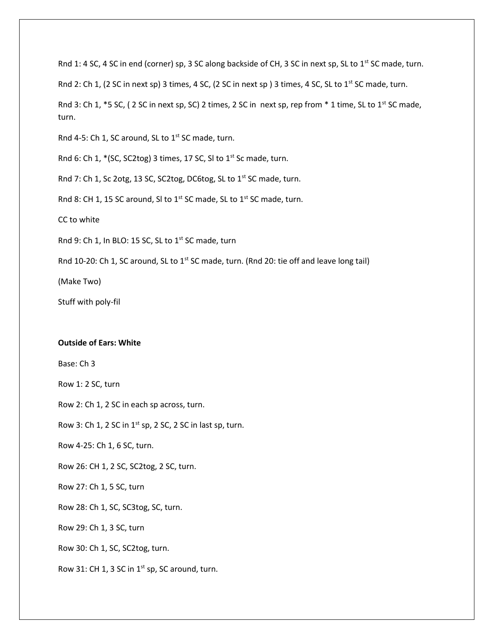Rnd 1: 4 SC, 4 SC in end (corner) sp, 3 SC along backside of CH, 3 SC in next sp, SL to 1st SC made, turn.

Rnd 2: Ch 1, (2 SC in next sp) 3 times, 4 SC, (2 SC in next sp) 3 times, 4 SC, SL to 1<sup>st</sup> SC made, turn.

Rnd 3: Ch 1,  $*$  5 SC, (2 SC in next sp, SC) 2 times, 2 SC in next sp, rep from  $*$  1 time, SL to 1<sup>st</sup> SC made, turn.

Rnd 4-5: Ch 1, SC around, SL to 1<sup>st</sup> SC made, turn.

Rnd 6: Ch 1,  $*(SC, SC2tog)$  3 times, 17 SC, SI to 1<sup>st</sup> Sc made, turn.

Rnd 7: Ch 1, Sc 2otg, 13 SC, SC2tog, DC6tog, SL to 1<sup>st</sup> SC made, turn.

Rnd 8: CH 1, 15 SC around, SI to 1<sup>st</sup> SC made, SL to 1<sup>st</sup> SC made, turn.

CC to white

Rnd 9: Ch 1, In BLO: 15 SC, SL to  $1^{st}$  SC made, turn

Rnd 10-20: Ch 1, SC around, SL to  $1<sup>st</sup>$  SC made, turn. (Rnd 20: tie off and leave long tail)

(Make Two)

Stuff with poly-fil

#### **Outside of Ears: White**

Base: Ch 3

Row 1: 2 SC, turn

Row 2: Ch 1, 2 SC in each sp across, turn.

Row 3: Ch 1, 2 SC in  $1^{st}$  sp, 2 SC, 2 SC in last sp, turn.

Row 4-25: Ch 1, 6 SC, turn.

Row 26: CH 1, 2 SC, SC2tog, 2 SC, turn.

Row 27: Ch 1, 5 SC, turn

Row 28: Ch 1, SC, SC3tog, SC, turn.

Row 29: Ch 1, 3 SC, turn

Row 30: Ch 1, SC, SC2tog, turn.

Row 31: CH 1, 3 SC in  $1^{st}$  sp, SC around, turn.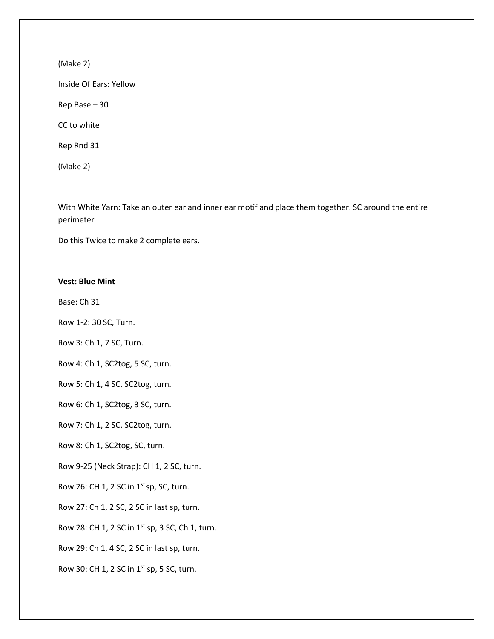(Make 2)

Inside Of Ears: Yellow

Rep Base – 30

CC to white

Rep Rnd 31

(Make 2)

With White Yarn: Take an outer ear and inner ear motif and place them together. SC around the entire perimeter

Do this Twice to make 2 complete ears.

## **Vest: Blue Mint**

Base: Ch 31

Row 1-2: 30 SC, Turn.

Row 3: Ch 1, 7 SC, Turn.

Row 4: Ch 1, SC2tog, 5 SC, turn.

Row 5: Ch 1, 4 SC, SC2tog, turn.

Row 6: Ch 1, SC2tog, 3 SC, turn.

Row 7: Ch 1, 2 SC, SC2tog, turn.

Row 8: Ch 1, SC2tog, SC, turn.

Row 9-25 (Neck Strap): CH 1, 2 SC, turn.

Row 26: CH 1, 2 SC in  $1^{st}$  sp, SC, turn.

Row 27: Ch 1, 2 SC, 2 SC in last sp, turn.

Row 28: CH 1, 2 SC in 1<sup>st</sup> sp, 3 SC, Ch 1, turn.

Row 29: Ch 1, 4 SC, 2 SC in last sp, turn.

Row 30: CH 1, 2 SC in  $1^{st}$  sp, 5 SC, turn.